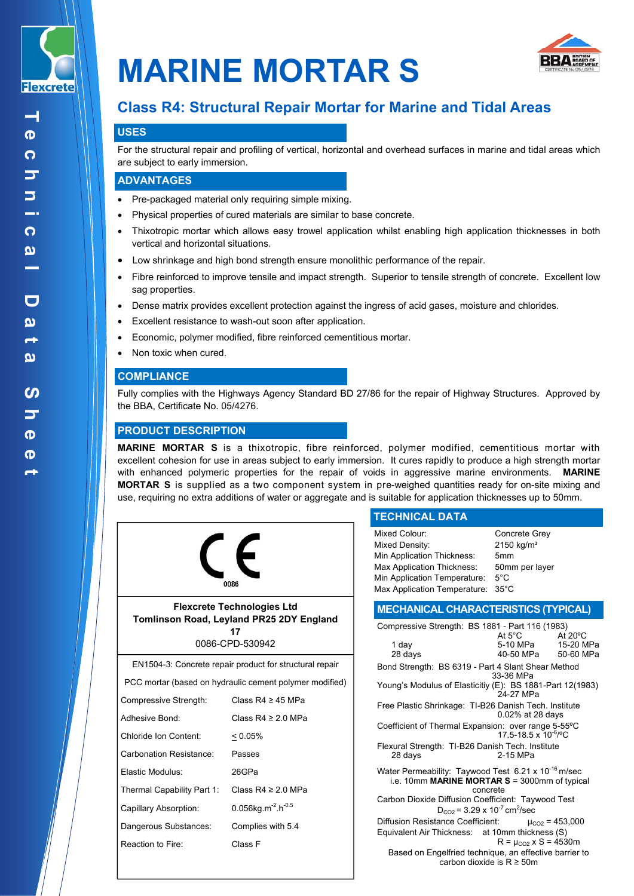

 $\mathord{\hspace{1pt}\text{--}\hspace{1pt}}$ 



# **Class R4: Structural Repair Mortar for Marine and Tidal Areas**

## **USES**

For the structural repair and profiling of vertical, horizontal and overhead surfaces in marine and tidal areas which are subject to early immersion.

#### **ADVANTAGES**

- Pre-packaged material only requiring simple mixing.
- Physical properties of cured materials are similar to base concrete.
- Thixotropic mortar which allows easy trowel application whilst enabling high application thicknesses in both vertical and horizontal situations.
- Low shrinkage and high bond strength ensure monolithic performance of the repair.
- Fibre reinforced to improve tensile and impact strength. Superior to tensile strength of concrete. Excellent low sag properties.
- Dense matrix provides excellent protection against the ingress of acid gases, moisture and chlorides.
- Excellent resistance to wash-out soon after application.
- Economic, polymer modified, fibre reinforced cementitious mortar.
- Non toxic when cured.

## **COMPLIANCE**

Fully complies with the Highways Agency Standard BD 27/86 for the repair of Highway Structures. Approved by the BBA, Certificate No. 05/4276.

## **PRODUCT DESCRIPTION**

**MARINE MORTAR S** is a thixotropic, fibre reinforced, polymer modified, cementitious mortar with excellent cohesion for use in areas subject to early immersion. It cures rapidly to produce a high strength mortar with enhanced polymeric properties for the repair of voids in aggressive marine environments. **MARINE MORTAR S** is supplied as a two component system in pre-weighed quantities ready for on-site mixing and use, requiring no extra additions of water or aggregate and is suitable for application thicknesses up to 50mm.



**Flexcrete Technologies Ltd Tomlinson Road, Leyland PR25 2DY England 17**

0086-CPD-530942

EN1504-3: Concrete repair product for structural repair

PCC mortar (based on hydraulic cement polymer modified)

| Compressive Strength:      | Class R4 $\geq$ 45 MPa                     |
|----------------------------|--------------------------------------------|
| Adhesive Bond:             | Class $R4 \ge 20$ MPa                      |
| Chloride Ion Content:      | $< 0.05\%$                                 |
| Carbonation Resistance:    | Passes                                     |
| Flastic Modulus:           | 26GPa                                      |
| Thermal Capability Part 1: | Class R4 $\geq$ 2.0 MPa                    |
| Capillary Absorption:      | 0.056kg.m <sup>-2</sup> .h <sup>-0.5</sup> |
| Dangerous Substances:      | Complies with 5.4                          |
| Reaction to Fire:          | Class F                                    |
|                            |                                            |

## **TECHNICAL DATA**

| Mixed Colour:                     | Concrete Grey         |
|-----------------------------------|-----------------------|
| Mixed Density:                    | $2150 \text{ kg/m}^3$ |
| Min Application Thickness:        | 5mm                   |
| Max Application Thickness:        | 50mm per layer        |
| Min Application Temperature:      | $5^{\circ}$ C         |
| Max Application Temperature: 35°C |                       |

## **MECHANICAL CHARACTERISTICS (TYPICAL)**

| Compressive Strength: BS 1881 - Part 116 (1983)                                                                              |                                                                                   |                       |  |
|------------------------------------------------------------------------------------------------------------------------------|-----------------------------------------------------------------------------------|-----------------------|--|
| 1 day<br>28 days                                                                                                             | At $5^{\circ}$ C At $20^{\circ}$ C<br>5-10 MPa   15-20 MPa<br>40-50 MPa 50-60 MPa |                       |  |
| Bond Strength: BS 6319 - Part 4 Slant Shear Method                                                                           | 33-36 MPa                                                                         |                       |  |
| Young's Modulus of Elasticitiy (E): BS 1881-Part 12(1983)<br>24-27 MPa                                                       |                                                                                   |                       |  |
| Free Plastic Shrinkage: TI-B26 Danish Tech. Institute                                                                        | 0.02% at 28 days                                                                  |                       |  |
| Coefficient of Thermal Expansion: over range 5-55°C                                                                          | 17 5-18 5 x 10 <sup>-6</sup> / <sup>o</sup> C                                     |                       |  |
| Flexural Strength: TI-B26 Danish Tech. Institute<br>28 days                                                                  | 2-15 MPa                                                                          |                       |  |
| Water Permeability: Taywood Test 6.21 x 10 <sup>-16</sup> m/sec<br>i.e. 10mm MARINE MORTAR S = 3000mm of typical<br>concrete |                                                                                   |                       |  |
| Carbon Dioxide Diffusion Coefficient: Taywood Test<br>$D_{CO2}$ = 3.29 x 10 <sup>-7</sup> cm <sup>2</sup> /sec               |                                                                                   |                       |  |
| Diffusion Resistance Coefficient:                                                                                            |                                                                                   | $\mu_{CO2}$ = 453,000 |  |
| Equivalent Air Thickness: at 10mm thickness (S)                                                                              | $R = \mu_{CO2} \times S = 4530m$                                                  |                       |  |
| Based on Engelfried technique, an effective barrier to<br>carbon dioxide is $R \geq 50$ m                                    |                                                                                   |                       |  |